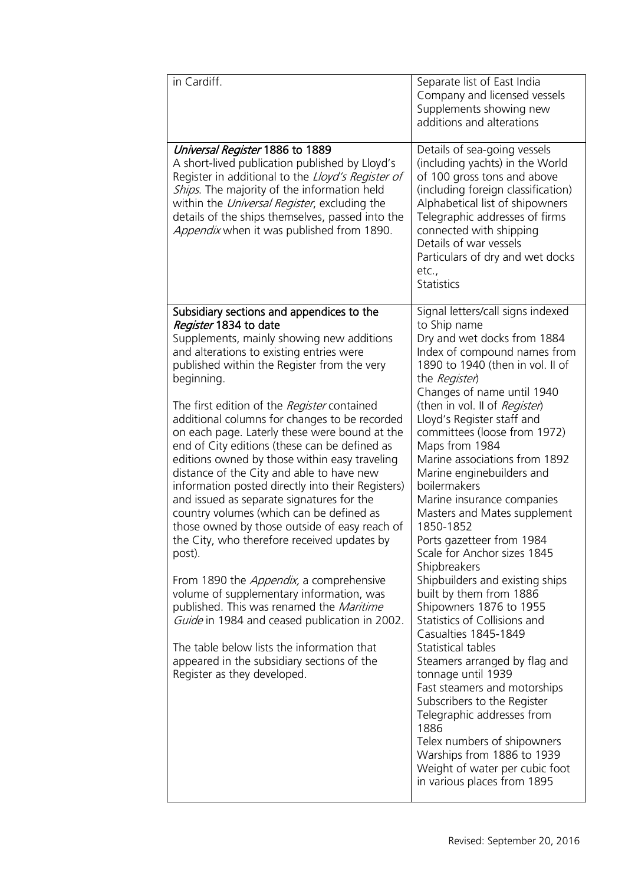**Lloyd's Register Foundation Heritage & Education Centre**

71 Fenchurch Street London EC3M 4BS United Kingdom Information Services EC3M 4BS

### Location map

T: +44 (0)20 7423 2475 F: +44 (0)20 7423 2039 **E:** info@lr.org  $F + T$  (0) 20 7423 2773

### www.lrfoundation.org.uk



Lloyd's Register<br>Foundation

| in Cardiff.                                                                                                                                                                                                                                                                                                                                                                                                                                                                                                                                                                                                                                                                                                                                                                                                                                                                                                                                                                                                                                                                                             | Separate list of East India<br>Company and licensed vessels<br>Supplements showing new<br>additions and alterations                                                                                                                                                                                                                                                                                                                                                                                                                                                                                                                                                                                                                                                                                                                                                                                                                                                                                |
|---------------------------------------------------------------------------------------------------------------------------------------------------------------------------------------------------------------------------------------------------------------------------------------------------------------------------------------------------------------------------------------------------------------------------------------------------------------------------------------------------------------------------------------------------------------------------------------------------------------------------------------------------------------------------------------------------------------------------------------------------------------------------------------------------------------------------------------------------------------------------------------------------------------------------------------------------------------------------------------------------------------------------------------------------------------------------------------------------------|----------------------------------------------------------------------------------------------------------------------------------------------------------------------------------------------------------------------------------------------------------------------------------------------------------------------------------------------------------------------------------------------------------------------------------------------------------------------------------------------------------------------------------------------------------------------------------------------------------------------------------------------------------------------------------------------------------------------------------------------------------------------------------------------------------------------------------------------------------------------------------------------------------------------------------------------------------------------------------------------------|
| Universal Register 1886 to 1889<br>A short-lived publication published by Lloyd's<br>Register in additional to the Lloyd's Register of<br>Ships. The majority of the information held<br>within the <i>Universal Register</i> , excluding the<br>details of the ships themselves, passed into the<br>Appendix when it was published from 1890.                                                                                                                                                                                                                                                                                                                                                                                                                                                                                                                                                                                                                                                                                                                                                          | Details of sea-going vessels<br>(including yachts) in the World<br>of 100 gross tons and above<br>(including foreign classification)<br>Alphabetical list of shipowners<br>Telegraphic addresses of firms<br>connected with shipping<br>Details of war vessels<br>Particulars of dry and wet docks<br>etc.,<br><b>Statistics</b>                                                                                                                                                                                                                                                                                                                                                                                                                                                                                                                                                                                                                                                                   |
| Subsidiary sections and appendices to the<br>Register 1834 to date<br>Supplements, mainly showing new additions<br>and alterations to existing entries were<br>published within the Register from the very<br>beginning.<br>The first edition of the Register contained<br>additional columns for changes to be recorded<br>on each page. Laterly these were bound at the<br>end of City editions (these can be defined as<br>editions owned by those within easy traveling<br>distance of the City and able to have new<br>information posted directly into their Registers)<br>and issued as separate signatures for the<br>country volumes (which can be defined as<br>those owned by those outside of easy reach of<br>the City, who therefore received updates by<br>post).<br>From 1890 the <i>Appendix</i> , a comprehensive<br>volume of supplementary information, was<br>published. This was renamed the Maritime<br>Guide in 1984 and ceased publication in 2002.<br>The table below lists the information that<br>appeared in the subsidiary sections of the<br>Register as they developed. | Signal letters/call signs indexed<br>to Ship name<br>Dry and wet docks from 1884<br>Index of compound names from<br>1890 to 1940 (then in vol. II of<br>the Register<br>Changes of name until 1940<br>(then in vol. II of <i>Register</i> )<br>Lloyd's Register staff and<br>committees (loose from 1972)<br>Maps from 1984<br>Marine associations from 1892<br>Marine enginebuilders and<br>boilermakers<br>Marine insurance companies<br>Masters and Mates supplement<br>1850-1852<br>Ports gazetteer from 1984<br>Scale for Anchor sizes 1845<br>Shipbreakers<br>Shipbuilders and existing ships<br>built by them from 1886<br>Shipowners 1876 to 1955<br>Statistics of Collisions and<br>Casualties 1845-1849<br>Statistical tables<br>Steamers arranged by flag and<br>tonnage until 1939<br>Fast steamers and motorships<br>Subscribers to the Register<br>Telegraphic addresses from<br>1886<br>Telex numbers of shipowners<br>Warships from 1886 to 1939<br>Weight of water per cubic foot |
|                                                                                                                                                                                                                                                                                                                                                                                                                                                                                                                                                                                                                                                                                                                                                                                                                                                                                                                                                                                                                                                                                                         | in various places from 1895                                                                                                                                                                                                                                                                                                                                                                                                                                                                                                                                                                                                                                                                                                                                                                                                                                                                                                                                                                        |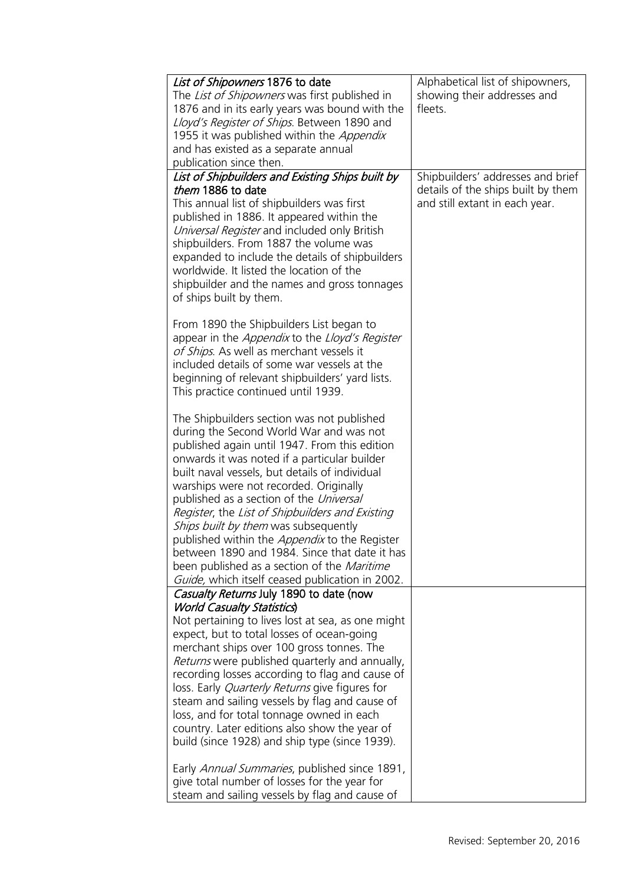**Lloyd's Register Foundation Heritage & Education Centre** rd's Register Foundat<br>
itage & Education<br>
tre<br>
Eenchurch Street<br>
don<br>
M 4BS<br>
ted Kingdom<br>
ation map<br>
44 (0)20 7423 2475<br>
44 (0)20 7423 2039<br>
nfo@lr.org

**Infosheet**

TOSheet

71 Fenchurch Street London EC3M 4BS United Kingdom Information Services

### Location map

T: +44 (0)20 7423 2475 **F:** +44 (0)20 7423 2039 Fax: +44 (0)20 7423 2039 **E:** info@lr.org  $F \rightarrow (0/20.7 + 20.3)$ 

EC3M 4BS

www.lrfoundation.org.uk



| List of Shipowners 1876 to date<br>The <i>List of Shipowners</i> was first published in<br>1876 and in its early years was bound with the<br>Lloyd's Register of Ships. Between 1890 and<br>1955 it was published within the Appendix<br>and has existed as a separate annual<br>publication since then.                                                                                                                                                                                                                                                                                                                                   | Alphabetical list of shipowners,<br>showing their addresses and<br>fleets.                                |
|--------------------------------------------------------------------------------------------------------------------------------------------------------------------------------------------------------------------------------------------------------------------------------------------------------------------------------------------------------------------------------------------------------------------------------------------------------------------------------------------------------------------------------------------------------------------------------------------------------------------------------------------|-----------------------------------------------------------------------------------------------------------|
| List of Shipbuilders and Existing Ships built by<br>them 1886 to date<br>This annual list of shipbuilders was first<br>published in 1886. It appeared within the<br>Universal Register and included only British<br>shipbuilders. From 1887 the volume was<br>expanded to include the details of shipbuilders<br>worldwide. It listed the location of the<br>shipbuilder and the names and gross tonnages<br>of ships built by them.                                                                                                                                                                                                       | Shipbuilders' addresses and brief<br>details of the ships built by them<br>and still extant in each year. |
| From 1890 the Shipbuilders List began to<br>appear in the <i>Appendix</i> to the <i>Lloyd's Register</i><br>of Ships. As well as merchant vessels it<br>included details of some war vessels at the<br>beginning of relevant shipbuilders' yard lists.<br>This practice continued until 1939.                                                                                                                                                                                                                                                                                                                                              |                                                                                                           |
| The Shipbuilders section was not published<br>during the Second World War and was not<br>published again until 1947. From this edition<br>onwards it was noted if a particular builder<br>built naval vessels, but details of individual<br>warships were not recorded. Originally<br>published as a section of the Universal<br>Register, the List of Shipbuilders and Existing<br>Ships built by them was subsequently<br>published within the <i>Appendix</i> to the Register<br>between 1890 and 1984. Since that date it has<br>been published as a section of the <i>Maritime</i><br>Guide, which itself ceased publication in 2002. |                                                                                                           |
| Casualty Returns July 1890 to date (now<br><b>World Casualty Statistics</b><br>Not pertaining to lives lost at sea, as one might<br>expect, but to total losses of ocean-going<br>merchant ships over 100 gross tonnes. The<br>Returns were published quarterly and annually,<br>recording losses according to flag and cause of<br>loss. Early <i>Quarterly Returns</i> give figures for<br>steam and sailing vessels by flag and cause of<br>loss, and for total tonnage owned in each<br>country. Later editions also show the year of<br>build (since 1928) and ship type (since 1939).                                                |                                                                                                           |
| Early Annual Summaries, published since 1891,<br>give total number of losses for the year for<br>steam and sailing vessels by flag and cause of                                                                                                                                                                                                                                                                                                                                                                                                                                                                                            |                                                                                                           |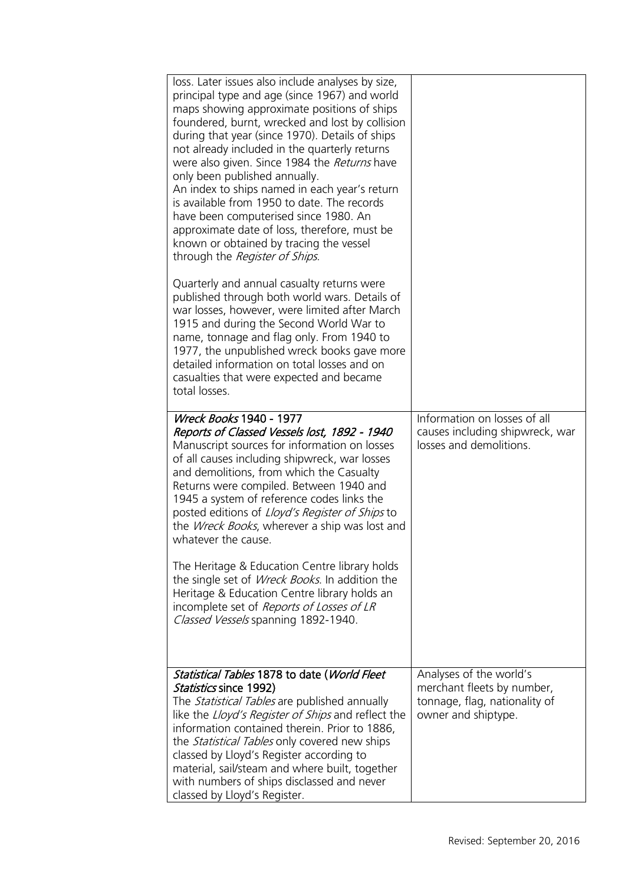| $\bigcup$                                                                                               | loss. Later issues also include analyses by size,<br>principal type and age (since 1967) and world<br>maps showing approximate positions of ships<br>foundered, burnt, wrecked and lost by collision<br>during that year (since 1970). Details of ships<br>not already included in the quarterly returns<br>were also given. Since 1984 the Returns have<br>only been published annually.<br>An index to ships named in each year's return<br>is available from 1950 to date. The records<br>have been computerised since 1980. An<br>approximate date of loss, therefore, must be<br>known or obtained by tracing the vessel<br>through the Register of Ships. |                                                                                                               |
|---------------------------------------------------------------------------------------------------------|-----------------------------------------------------------------------------------------------------------------------------------------------------------------------------------------------------------------------------------------------------------------------------------------------------------------------------------------------------------------------------------------------------------------------------------------------------------------------------------------------------------------------------------------------------------------------------------------------------------------------------------------------------------------|---------------------------------------------------------------------------------------------------------------|
|                                                                                                         | Quarterly and annual casualty returns were<br>published through both world wars. Details of<br>war losses, however, were limited after March<br>1915 and during the Second World War to<br>name, tonnage and flag only. From 1940 to<br>1977, the unpublished wreck books gave more<br>detailed information on total losses and on<br>casualties that were expected and became<br>total losses.                                                                                                                                                                                                                                                                 |                                                                                                               |
|                                                                                                         | <b>Wreck Books 1940 - 1977</b><br>Reports of Classed Vessels lost, 1892 - 1940<br>Manuscript sources for information on losses<br>of all causes including shipwreck, war losses<br>and demolitions, from which the Casualty<br>Returns were compiled. Between 1940 and<br>1945 a system of reference codes links the<br>posted editions of Lloyd's Register of Ships to<br>the <i>Wreck Books</i> , wherever a ship was lost and<br>whatever the cause.                                                                                                                                                                                                         | Information on losses of all<br>causes including shipwreck, war<br>losses and demolitions.                    |
| d's Register Foundation<br>itage & Education<br>tre                                                     | The Heritage & Education Centre library holds<br>the single set of <i>Wreck Books</i> . In addition the<br>Heritage & Education Centre library holds an<br>incomplete set of Reports of Losses of LR<br>Classed Vessels spanning 1892-1940.                                                                                                                                                                                                                                                                                                                                                                                                                     |                                                                                                               |
| enchurch Street<br>don<br>M <sub>4BS</sub><br>ted Kingdom                                               |                                                                                                                                                                                                                                                                                                                                                                                                                                                                                                                                                                                                                                                                 |                                                                                                               |
| <u>ation map</u><br>44 (0) 20 74 23 2475<br>44 (0) 20 74 23 2039<br>nfo@lr.org<br>w.Irfoundation.org.uk | Statistical Tables 1878 to date (World Fleet<br>Statistics since 1992)<br>The Statistical Tables are published annually<br>like the <i>Lloyd's Register of Ships</i> and reflect the<br>information contained therein. Prior to 1886,<br>the <i>Statistical Tables</i> only covered new ships<br>classed by Lloyd's Register according to                                                                                                                                                                                                                                                                                                                       | Analyses of the world's<br>merchant fleets by number,<br>tonnage, flag, nationality of<br>owner and shiptype. |
|                                                                                                         | material, sail/steam and where built, together<br>with numbers of ships disclassed and never<br>classed by Lloyd's Register.                                                                                                                                                                                                                                                                                                                                                                                                                                                                                                                                    |                                                                                                               |

71 Fenchurch Street London EC3M 4BS United Kingdom Information Services EC3M 4BS

### Location map

T: +44 (0)20 7423 2475 **F:** +44 (0)20 7423 2039 Fax: +44 (0)20 7423 2039 **E:** info@lr.org  $F \rightarrow (0/20.7 + 20.3)$ 

www.lrfoundation

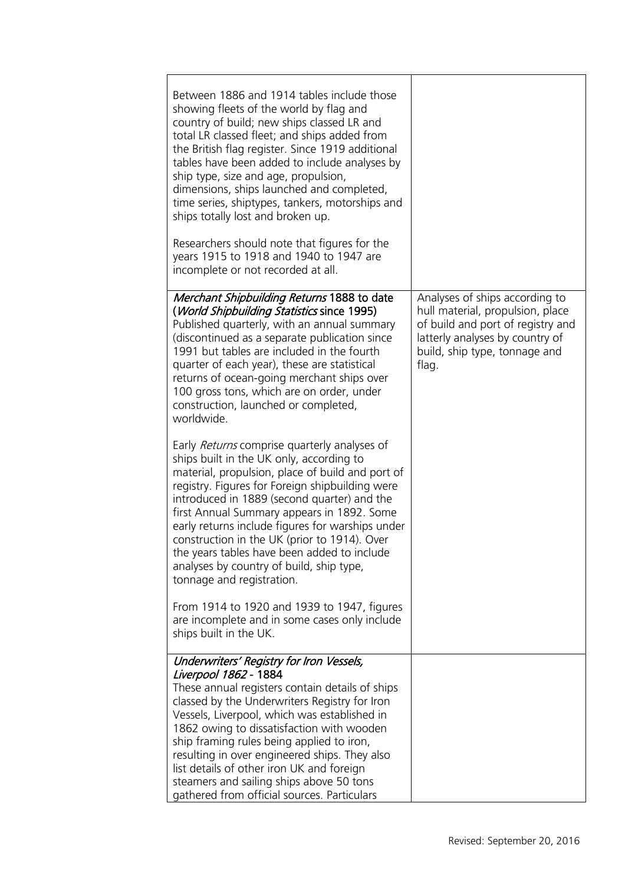**Lloyd's Register Foundation Heritage & Education Centre**

71 Fenchurch Street London EC3M 4BS United Kingdom Information Services EC3M 4BS

### Location map

T: +44 (0)20 7423 2475 **F:** +44 (0)20 7423 2039 Fax: +44 (0)20 7423 2039 **E:** info@lr.org  $F \rightarrow (0/20.7 + 20.3)$ 

www.lrfoundation.org.uk



| Between 1886 and 1914 tables include those<br>showing fleets of the world by flag and<br>country of build; new ships classed LR and<br>total LR classed fleet; and ships added from<br>the British flag register. Since 1919 additional<br>tables have been added to include analyses by<br>ship type, size and age, propulsion,<br>dimensions, ships launched and completed,<br>time series, shiptypes, tankers, motorships and<br>ships totally lost and broken up.<br>Researchers should note that figures for the<br>years 1915 to 1918 and 1940 to 1947 are |                                                                                                                                                                                      |
|------------------------------------------------------------------------------------------------------------------------------------------------------------------------------------------------------------------------------------------------------------------------------------------------------------------------------------------------------------------------------------------------------------------------------------------------------------------------------------------------------------------------------------------------------------------|--------------------------------------------------------------------------------------------------------------------------------------------------------------------------------------|
| incomplete or not recorded at all.                                                                                                                                                                                                                                                                                                                                                                                                                                                                                                                               |                                                                                                                                                                                      |
| Merchant Shipbuilding Returns 1888 to date<br>(World Shipbuilding Statistics since 1995)<br>Published quarterly, with an annual summary<br>(discontinued as a separate publication since<br>1991 but tables are included in the fourth<br>quarter of each year), these are statistical<br>returns of ocean-going merchant ships over<br>100 gross tons, which are on order, under<br>construction, launched or completed,<br>worldwide.                                                                                                                          | Analyses of ships according to<br>hull material, propulsion, place<br>of build and port of registry and<br>latterly analyses by country of<br>build, ship type, tonnage and<br>flag. |
| Early Returns comprise quarterly analyses of<br>ships built in the UK only, according to<br>material, propulsion, place of build and port of<br>registry. Figures for Foreign shipbuilding were<br>introduced in 1889 (second quarter) and the<br>first Annual Summary appears in 1892. Some<br>early returns include figures for warships under<br>construction in the UK (prior to 1914). Over<br>the years tables have been added to include<br>analyses by country of build, ship type,<br>tonnage and registration.                                         |                                                                                                                                                                                      |
| From 1914 to 1920 and 1939 to 1947, figures<br>are incomplete and in some cases only include<br>ships built in the UK.                                                                                                                                                                                                                                                                                                                                                                                                                                           |                                                                                                                                                                                      |
| Underwriters' Registry for Iron Vessels,<br>Liverpool 1862 - 1884<br>These annual registers contain details of ships<br>classed by the Underwriters Registry for Iron<br>Vessels, Liverpool, which was established in<br>1862 owing to dissatisfaction with wooden<br>ship framing rules being applied to iron,<br>resulting in over engineered ships. They also<br>list details of other iron UK and foreign<br>steamers and sailing ships above 50 tons<br>gathered from official sources. Particulars                                                         |                                                                                                                                                                                      |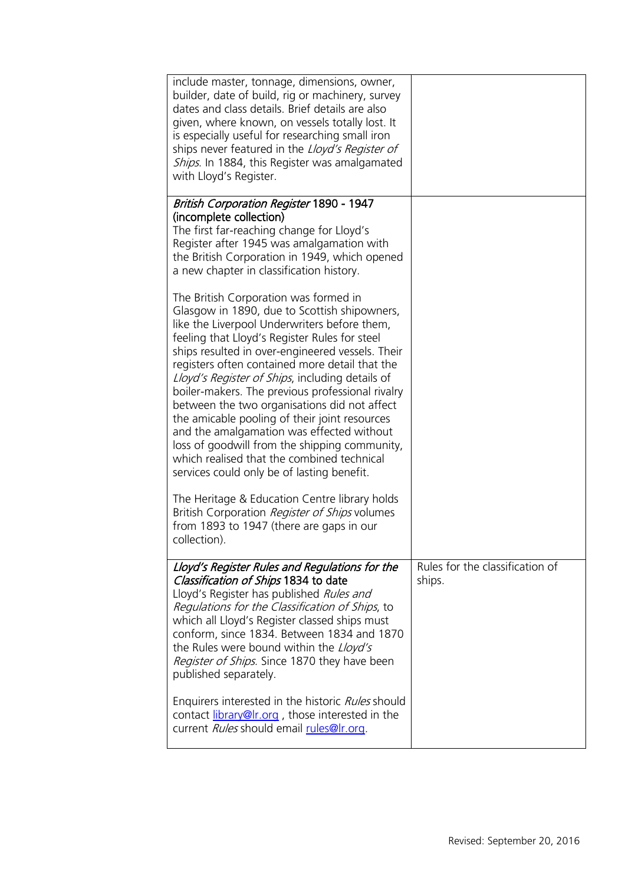|                                                                                             | include master, tonnage, dimensions, owner,<br>builder, date of build, rig or machinery, survey<br>dates and class details. Brief details are also<br>given, where known, on vessels totally lost. It<br>is especially useful for researching small iron<br>ships never featured in the Lloyd's Register of<br>Ships. In 1884, this Register was amalgamated<br>with Lloyd's Register.                                                                                                                                                                                                                                                                                                         |                                           |
|---------------------------------------------------------------------------------------------|------------------------------------------------------------------------------------------------------------------------------------------------------------------------------------------------------------------------------------------------------------------------------------------------------------------------------------------------------------------------------------------------------------------------------------------------------------------------------------------------------------------------------------------------------------------------------------------------------------------------------------------------------------------------------------------------|-------------------------------------------|
|                                                                                             | <b>British Corporation Register 1890 - 1947</b>                                                                                                                                                                                                                                                                                                                                                                                                                                                                                                                                                                                                                                                |                                           |
|                                                                                             | (incomplete collection)<br>The first far-reaching change for Lloyd's<br>Register after 1945 was amalgamation with<br>the British Corporation in 1949, which opened<br>a new chapter in classification history.                                                                                                                                                                                                                                                                                                                                                                                                                                                                                 |                                           |
| $\overline{\mathbf{P}}$                                                                     | The British Corporation was formed in<br>Glasgow in 1890, due to Scottish shipowners,<br>like the Liverpool Underwriters before them,<br>feeling that Lloyd's Register Rules for steel<br>ships resulted in over-engineered vessels. Their<br>registers often contained more detail that the<br>Lloyd's Register of Ships, including details of<br>boiler-makers. The previous professional rivalry<br>between the two organisations did not affect<br>the amicable pooling of their joint resources<br>and the amalgamation was effected without<br>loss of goodwill from the shipping community,<br>which realised that the combined technical<br>services could only be of lasting benefit. |                                           |
|                                                                                             | The Heritage & Education Centre library holds<br>British Corporation Register of Ships volumes<br>from 1893 to 1947 (there are gaps in our<br>collection).                                                                                                                                                                                                                                                                                                                                                                                                                                                                                                                                     |                                           |
| <b>Lloyd's Register Foundation</b><br><b>Heritage &amp; Education</b><br>Centre             | Lloyd's Register Rules and Regulations for the<br>Classification of Ships 1834 to date<br>Lloyd's Register has published Rules and<br>Regulations for the Classification of Ships, to                                                                                                                                                                                                                                                                                                                                                                                                                                                                                                          | Rules for the classification of<br>ships. |
| 71 Fenchurch Street<br>London<br>EC3M 4BS<br>United Kingdom                                 | which all Lloyd's Register classed ships must<br>conform, since 1834. Between 1834 and 1870<br>the Rules were bound within the Lloyd's<br>Register of Ships. Since 1870 they have been<br>published separately.                                                                                                                                                                                                                                                                                                                                                                                                                                                                                |                                           |
| <b>Location map</b><br>T: $+44$ (0)20 7423 2475<br>F: +44 (0)20 7423 2039<br>E: info@lr.org | Enquirers interested in the historic Rules should<br>contact library@Ir.org, those interested in the<br>current Rules should email rules@Ir.org.                                                                                                                                                                                                                                                                                                                                                                                                                                                                                                                                               |                                           |
| www.lrfoundation.org.uk                                                                     |                                                                                                                                                                                                                                                                                                                                                                                                                                                                                                                                                                                                                                                                                                |                                           |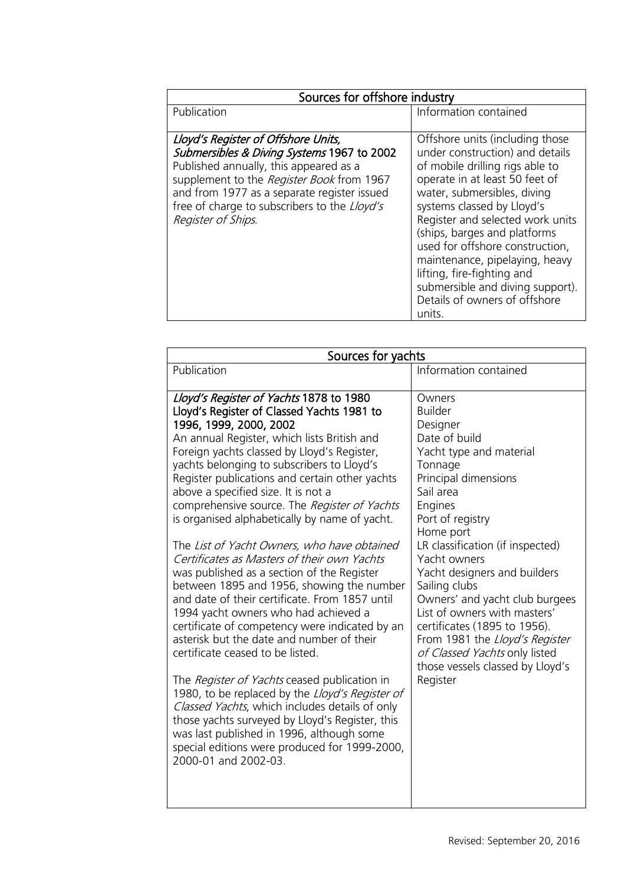**Lloyd's Register Foundation Heritage & Education Centre**

71 Fenchurch Street London EC3M 4BS United Kingdom Information Services EC3M 4BS

### Location map

T: +44 (0)20 7423 2475 **F:** +44 (0)20 7423 2039 Fax: +44 (0)20 7423 2039 **E:** info@lr.org  $F \rightarrow (0/20.7 + 20.3)$ 

www.lrfoundation.org.uk



| Sources for offshore industry                                                                                                                                                                                                                                                                 |                                                                                                                                                                                                                                                                                                                                                                                                                 |  |
|-----------------------------------------------------------------------------------------------------------------------------------------------------------------------------------------------------------------------------------------------------------------------------------------------|-----------------------------------------------------------------------------------------------------------------------------------------------------------------------------------------------------------------------------------------------------------------------------------------------------------------------------------------------------------------------------------------------------------------|--|
| Publication                                                                                                                                                                                                                                                                                   | Information contained                                                                                                                                                                                                                                                                                                                                                                                           |  |
| Lloyd's Register of Offshore Units,<br>Submersibles & Diving Systems 1967 to 2002<br>Published annually, this appeared as a<br>supplement to the Register Book from 1967<br>and from 1977 as a separate register issued<br>free of charge to subscribers to the Lloyd's<br>Register of Ships. | Offshore units (including those<br>under construction) and details<br>of mobile drilling rigs able to<br>operate in at least 50 feet of<br>water, submersibles, diving<br>systems classed by Lloyd's<br>Register and selected work units<br>(ships, barges and platforms<br>used for offshore construction,<br>maintenance, pipelaying, heavy<br>lifting, fire-fighting and<br>submersible and diving support). |  |
|                                                                                                                                                                                                                                                                                               | Details of owners of offshore<br>units.                                                                                                                                                                                                                                                                                                                                                                         |  |

| Sources for yachts                                                                                                                                                                                                                                                                                                                                                                                                                                                                                                                                                                                                                                                                                                                                                                                                                                                                                                                                                                                                                                                                                                                                                                                               |                                                                                                                                                                                                                                                                                                                                                                                                                                                                                                        |
|------------------------------------------------------------------------------------------------------------------------------------------------------------------------------------------------------------------------------------------------------------------------------------------------------------------------------------------------------------------------------------------------------------------------------------------------------------------------------------------------------------------------------------------------------------------------------------------------------------------------------------------------------------------------------------------------------------------------------------------------------------------------------------------------------------------------------------------------------------------------------------------------------------------------------------------------------------------------------------------------------------------------------------------------------------------------------------------------------------------------------------------------------------------------------------------------------------------|--------------------------------------------------------------------------------------------------------------------------------------------------------------------------------------------------------------------------------------------------------------------------------------------------------------------------------------------------------------------------------------------------------------------------------------------------------------------------------------------------------|
| Publication                                                                                                                                                                                                                                                                                                                                                                                                                                                                                                                                                                                                                                                                                                                                                                                                                                                                                                                                                                                                                                                                                                                                                                                                      | Information contained                                                                                                                                                                                                                                                                                                                                                                                                                                                                                  |
| Lloyd's Register of Yachts 1878 to 1980<br>Lloyd's Register of Classed Yachts 1981 to<br>1996, 1999, 2000, 2002<br>An annual Register, which lists British and<br>Foreign yachts classed by Lloyd's Register,<br>yachts belonging to subscribers to Lloyd's<br>Register publications and certain other yachts<br>above a specified size. It is not a<br>comprehensive source. The Register of Yachts<br>is organised alphabetically by name of yacht.<br>The List of Yacht Owners, who have obtained<br>Certificates as Masters of their own Yachts<br>was published as a section of the Register<br>between 1895 and 1956, showing the number<br>and date of their certificate. From 1857 until<br>1994 yacht owners who had achieved a<br>certificate of competency were indicated by an<br>asterisk but the date and number of their<br>certificate ceased to be listed.<br>The <i>Register of Yachts</i> ceased publication in<br>1980, to be replaced by the Lloyd's Register of<br>Classed Yachts, which includes details of only<br>those yachts surveyed by Lloyd's Register, this<br>was last published in 1996, although some<br>special editions were produced for 1999-2000,<br>2000-01 and 2002-03. | Owners<br><b>Builder</b><br>Designer<br>Date of build<br>Yacht type and material<br>Tonnage<br>Principal dimensions<br>Sail area<br>Engines<br>Port of registry<br>Home port<br>LR classification (if inspected)<br>Yacht owners<br>Yacht designers and builders<br>Sailing clubs<br>Owners' and yacht club burgees<br>List of owners with masters'<br>certificates (1895 to 1956).<br>From 1981 the Lloyd's Register<br>of Classed Yachts only listed<br>those vessels classed by Lloyd's<br>Register |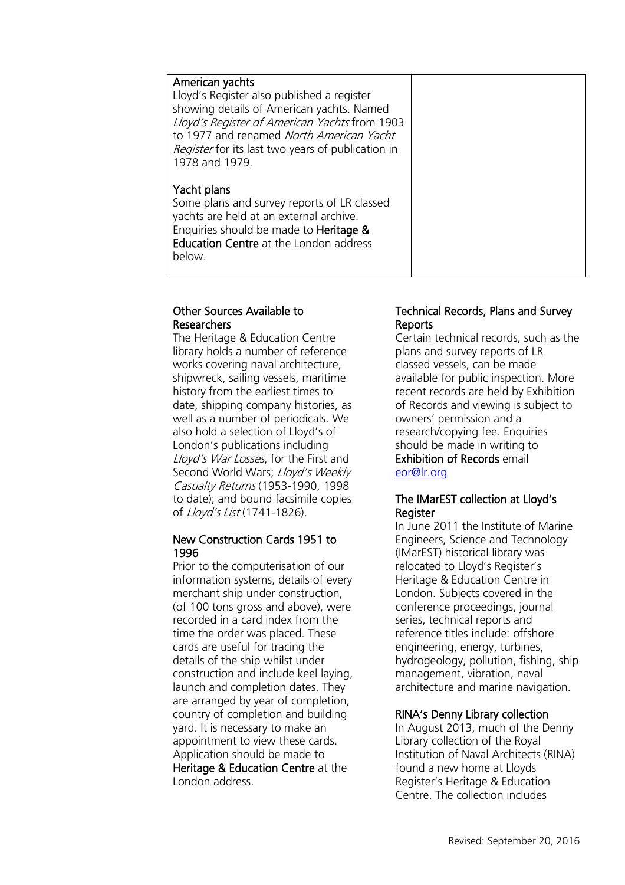## American yachts

Lloyd's Register also published a register showing details of American yachts. Named Lloyd's Register of American Yachts from 1903 to 1977 and renamed North American Yacht Register for its last two years of publication in 1978 and 1979.

### Yacht plans

Some plans and survey reports of LR classed yachts are held at an external archive. Enquiries should be made to Heritage & Education Centre at the London address below.

## Other Sources Available to Researchers

The Heritage & Education Centre library holds a number of reference works covering naval architecture, shipwreck, sailing vessels, maritime history from the earliest times to date, shipping company histories, as well as a number of periodicals. We also hold a selection of Lloyd's of London's publications including Lloyd's War Losses, for the First and Second World Wars; Lloyd's Weekly Casualty Returns (1953-1990, 1998 to date); and bound facsimile copies of Lloyd's List (1741-1826).

### New Construction Cards 1951 to 1996

Prior to the computerisation of our information systems, details of every merchant ship under construction, (of 100 tons gross and above), were recorded in a card index from the time the order was placed. These cards are useful for tracing the details of the ship whilst under construction and include keel laying, launch and completion dates. They are arranged by year of completion, country of completion and building yard. It is necessary to make an appointment to view these cards. Application should be made to Heritage & Education Centre at the London address.

## Technical Records, Plans and Survey **Reports**

Certain technical records, such as the plans and survey reports of LR classed vessels, can be made available for public inspection. More recent records are held by Exhibition of Records and viewing is subject to owners' permission and a research/copying fee. Enquiries should be made in writing to Exhibition of Records email [eor@lr.org](mailto:eor@lr.org)

### The IMarEST collection at Lloyd's Register

In June 2011 the Institute of Marine Engineers, Science and Technology (IMarEST) historical library was relocated to Lloyd's Register's Heritage & Education Centre in London. Subjects covered in the conference proceedings, journal series, technical reports and reference titles include: offshore engineering, energy, turbines, hydrogeology, pollution, fishing, ship management, vibration, naval architecture and marine navigation.

## RINA's Denny Library collection

In August 2013, much of the Denny Library collection of the Royal Institution of Naval Architects (RINA) found a new home at Lloyds Register's Heritage & Education Centre. The collection includes

**Lloyd's Register Foundation Heritage & Education Centre**

**Infosheet**

E

71 Fenchurch Street London Information Services EC3M 4BS United Kingdom EC3M 4BS

### Location map

T: +44 (0)20 7423 2475 **F:** +44 (0)20 7423 2039 Fax: +44 (0)20 7423 2039 **E:** info@lr.org  $F \rightarrow (0/20.7 + 20.3)$ rd's Register Foundat<br>
itage & Education<br>
tre<br>
Eenchurch Street<br>
don<br>
M 4BS<br>
ted Kingdom<br>
ation map<br>
44 (0)20 7423 2475<br>
44 (0)20 7423 2039<br>
nfo@lr.org

#### www.lrfoundation.org.uk



Lloyd's Register Foundation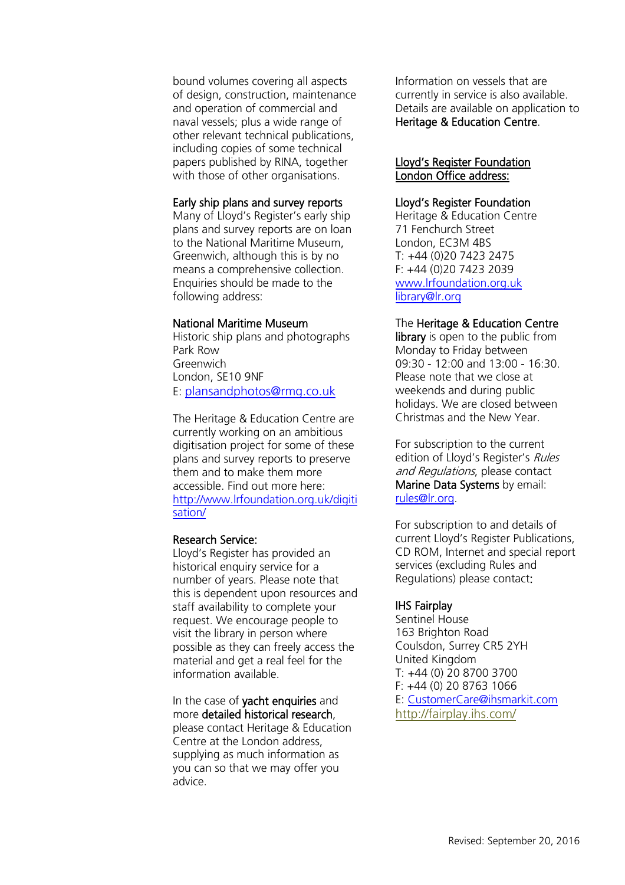**Lloyd's Register Foundation Heritage & Education Centre** rd's Register Foundat<br>
itage & Education<br>
tre<br>
Eenchurch Street<br>
don<br>
M 4BS<br>
ted Kingdom<br>
ation map<br>
44 (0)20 7423 2475<br>
44 (0)20 7423 2039<br>
nfo@lr.org

**Infosheet**

71 Fenchurch Street 7 Thematen Server<br>London EC3M 4BS United Kingdom

### Location map

T: +44 (0)20 7423 2475 **F:** +44 (0)20 7423 2039 Fax: +44 (0)20 7423 2039 **E:** info@lr.org  $F \rightarrow (0/20.7 + 20.3)$ 

EC3M 4BS

### www.lrfoundation.org.uk



Lloyd's Register Foundation

bound volumes covering all aspects of design, construction, maintenance and operation of commercial and naval vessels; plus a wide range of other relevant technical publications, including copies of some technical papers published by RINA, together with those of other organisations.

# Early ship plans and survey reports

Many of Lloyd's Register's early ship plans and survey reports are on loan to the National Maritime Museum, Greenwich, although this is by no means a comprehensive collection. Enquiries should be made to the following address:

# National Maritime Museum

Historic ship plans and photographs Park Row Greenwich London, SE10 9NF E: [plansandphotos@rmg.co.uk](mailto:plansandphotos@rmg.co.uk)

The Heritage & Education Centre are currently working on an ambitious digitisation project for some of these plans and survey reports to preserve them and to make them more accessible. Find out more here: [http://www.lrfoundation.org.uk/digiti](http://www.lrfoundation.org.uk/digitisation/) [sation/](http://www.lrfoundation.org.uk/digitisation/)

## Research Service:

Lloyd's Register has provided an historical enquiry service for a number of years. Please note that this is dependent upon resources and staff availability to complete your request. We encourage people to visit the library in person where possible as they can freely access the material and get a real feel for the information available.

In the case of yacht enquiries and more detailed historical research, please contact Heritage & Education Centre at the London address, supplying as much information as you can so that we may offer you advice.

Information on vessels that are currently in service is also available. Details are available on application to Heritage & Education Centre.

## Lloyd's Register Foundation London Office address:

# Lloyd's Register Foundation

Heritage & Education Centre 71 Fenchurch Street London, EC3M 4BS T: +44 (0)20 7423 2475 F: +44 (0)20 7423 2039 [www.lrfoundation.org.uk](http://www.lrfoundation.org.uk/) [library@lr.org](mailto:library@lr.org) 

# The Heritage & Education Centre

library is open to the public from Monday to Friday between 09:30 - 12:00 and 13:00 - 16:30. Please note that we close at weekends and during public holidays. We are closed between Christmas and the New Year.

For subscription to the current edition of Lloyd's Register's Rules and Regulations, please contact Marine Data Systems by email: [rules@lr.org.](mailto:rules@lr.org)

For subscription to and details of current Lloyd's Register Publications, CD ROM, Internet and special report services (excluding Rules and Regulations) please contact:

# IHS Fairplay

Sentinel House 163 Brighton Road Coulsdon, Surrey CR5 2YH United Kingdom T: +44 (0) 20 8700 3700 F: +44 (0) 20 8763 1066 E: [CustomerCare@ihsmarkit.com](mailto:CustomerCare@ihs.com) <http://fairplay.ihs.com/>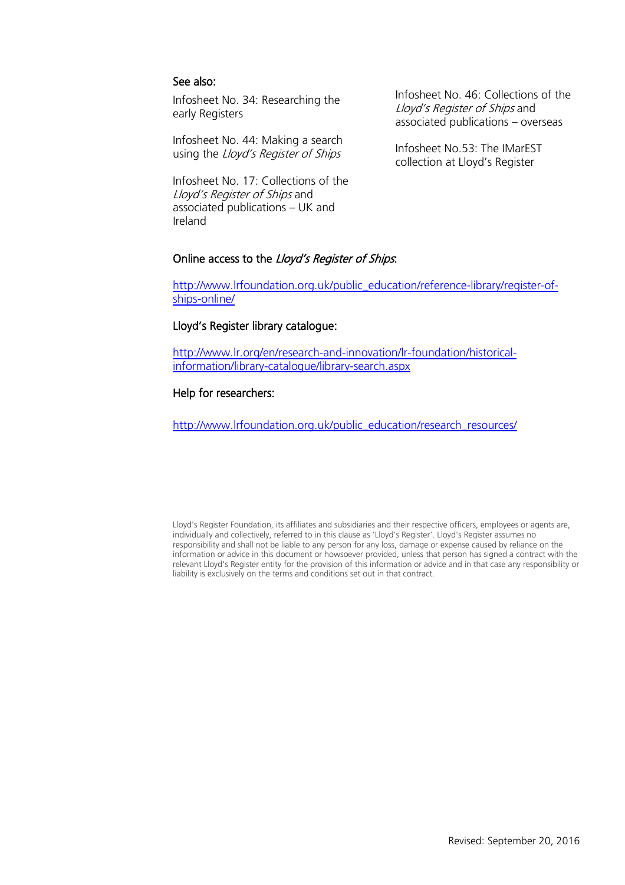## See also:

Infosheet No. 34: Researching the early Registers

Infosheet No. 44: Making a search using the Lloyd's Register of Ships

Infosheet No. 17: Collections of the Lloyd's Register of Ships and associated publications – UK and Ireland

Infosheet No. 46: Collections of the Lloyd's Register of Ships and associated publications – overseas

Infosheet No.53: The IMarEST collection at Lloyd's Register

# Online access to the Lloyd's Register of Ships.

[http://www.lrfoundation.org.uk/public\\_education/reference-library/register-of](http://www.lrfoundation.org.uk/public_education/reference-library/register-of-ships-online/)[ships-online/](http://www.lrfoundation.org.uk/public_education/reference-library/register-of-ships-online/)

## Lloyd's Register library catalogue:

[http://www.lr.org/en/research-and-innovation/lr-foundation/historical](http://www.lr.org/en/research-and-innovation/lr-foundation/historical-information/library-catalogue/library-search.aspx)[information/library-catalogue/library-search.aspx](http://www.lr.org/en/research-and-innovation/lr-foundation/historical-information/library-catalogue/library-search.aspx) 

# Help for researchers:

http://www.lrfoundation.org.uk/public\_education/research\_resources/

Lloyd's Register Foundation, its affiliates and subsidiaries and their respective officers, employees or agents are, individually and collectively, referred to in this clause as 'Lloyd's Register'. Lloyd's Register assumes no responsibility and shall not be liable to any person for any loss, damage or expense caused by reliance on the information or advice in this document or howsoever provided, unless that person has signed a contract with the relevant Lloyd's Register entity for the provision of this information or advice and in that case any responsibility or liability is exclusively on the terms and conditions set out in that contract.

**Lloyd's Register Foundation Heritage & Education Centre**

**Infosheet**

CHO-

71 Fenchurch Street 7 Thematen Server<br>London EC3M 4BS United Kingdom

### Location map

T: +44 (0)20 7423 2475 **F:** +44 (0)20 7423 2039 Fax: +44 (0)20 7423 2039 **E:** info@lr.org  $F \rightarrow (0/20.7 + 20.3)$ rd's Register Foundat<br>
itage & Education<br>
tre<br>
Eenchurch Street<br>
don<br>
M 4BS<br>
ted Kingdom<br>
ation map<br>
44 (0)20 7423 2475<br>
44 (0)20 7423 2039<br>
nfo@lr.org

EC3M 4BS

#### www.lrfoundation.org.uk



Lloyd's Register